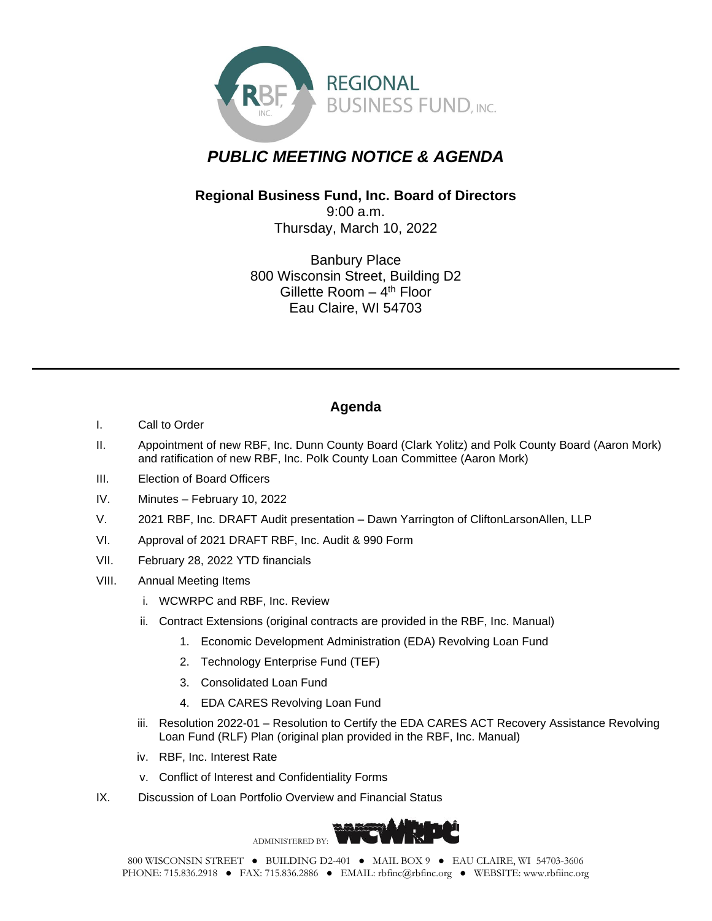

## *PUBLIC MEETING NOTICE & AGENDA*

## **Regional Business Fund, Inc. Board of Directors** 9:00 a.m.

Thursday, March 10, 2022

Banbury Place 800 Wisconsin Street, Building D2 Gillette Room - 4<sup>th</sup> Floor Eau Claire, WI 54703

## **Agenda**

- I. Call to Order
- II. Appointment of new RBF, Inc. Dunn County Board (Clark Yolitz) and Polk County Board (Aaron Mork) and ratification of new RBF, Inc. Polk County Loan Committee (Aaron Mork)
- III. Election of Board Officers
- IV. Minutes February 10, 2022
- V. 2021 RBF, Inc. DRAFT Audit presentation Dawn Yarrington of CliftonLarsonAllen, LLP
- VI. Approval of 2021 DRAFT RBF, Inc. Audit & 990 Form
- VII. February 28, 2022 YTD financials
- VIII. Annual Meeting Items
	- i. WCWRPC and RBF, Inc. Review
	- ii. Contract Extensions (original contracts are provided in the RBF, Inc. Manual)
		- 1. Economic Development Administration (EDA) Revolving Loan Fund
		- 2. Technology Enterprise Fund (TEF)
		- 3. Consolidated Loan Fund
		- 4. EDA CARES Revolving Loan Fund
	- iii. Resolution 2022-01 Resolution to Certify the EDA CARES ACT Recovery Assistance Revolving Loan Fund (RLF) Plan (original plan provided in the RBF, Inc. Manual)
	- iv. RBF, Inc. Interest Rate
	- v. Conflict of Interest and Confidentiality Forms
- IX. Discussion of Loan Portfolio Overview and Financial Status